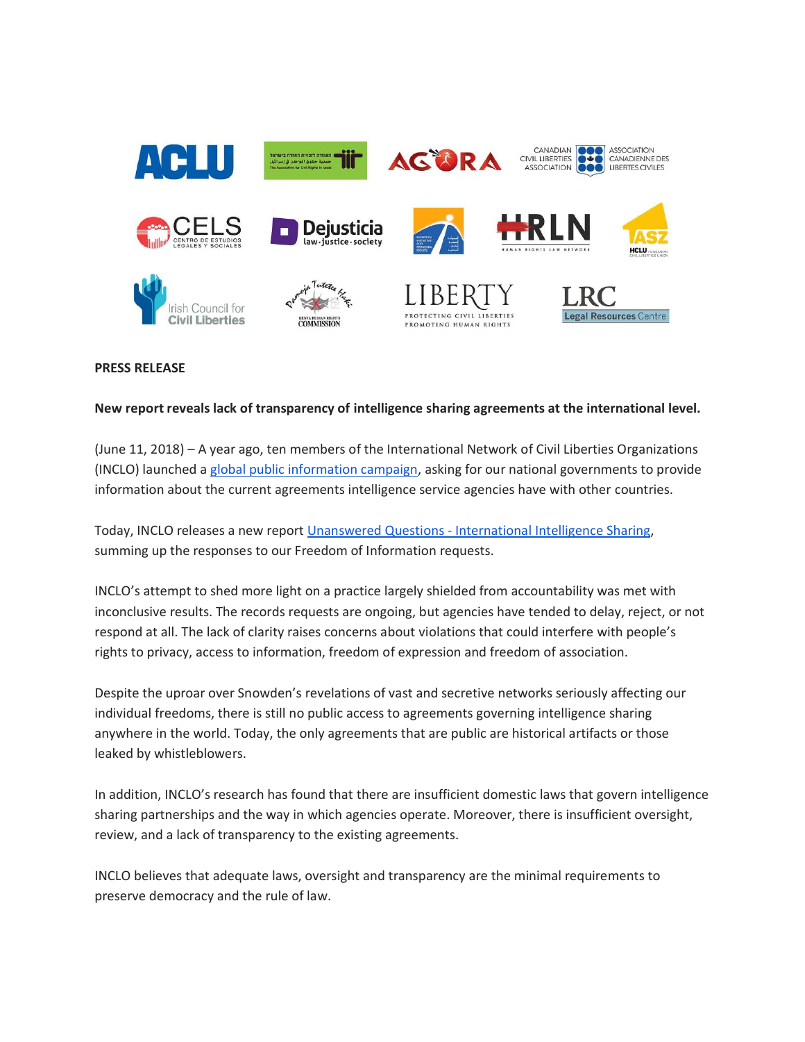

## **PRESS RELEASE**

## **New report reveals lack of transparency of intelligence sharing agreements at the international level.**

(June 11, 2018) – A year ago, ten members of the International Network of Civil Liberties Organizations (INCLO) launched a [global public information campaign,](https://www.inclo.net/international-intelligence-sharing-project.html) asking for our national governments to provide information about the current agreements intelligence service agencies have with other countries.

Today, INCLO releases a new report Unanswered Questions - [International Intelligence Sharing,](https://www.inclo.net/pdf/iisp/unanswered_questions.pdf) summing up the responses to our Freedom of Information requests.

INCLO's attempt to shed more light on a practice largely shielded from accountability was met with inconclusive results. The records requests are ongoing, but agencies have tended to delay, reject, or not respond at all. The lack of clarity raises concerns about violations that could interfere with people's rights to privacy, access to information, freedom of expression and freedom of association.

Despite the uproar over Snowden's revelations of vast and secretive networks seriously affecting our individual freedoms, there is still no public access to agreements governing intelligence sharing anywhere in the world. Today, the only agreements that are public are historical artifacts or those leaked by whistleblowers.

In addition, INCLO's research has found that there are insufficient domestic laws that govern intelligence sharing partnerships and the way in which agencies operate. Moreover, there is insufficient oversight, review, and a lack of transparency to the existing agreements.

INCLO believes that adequate laws, oversight and transparency are the minimal requirements to preserve democracy and the rule of law.